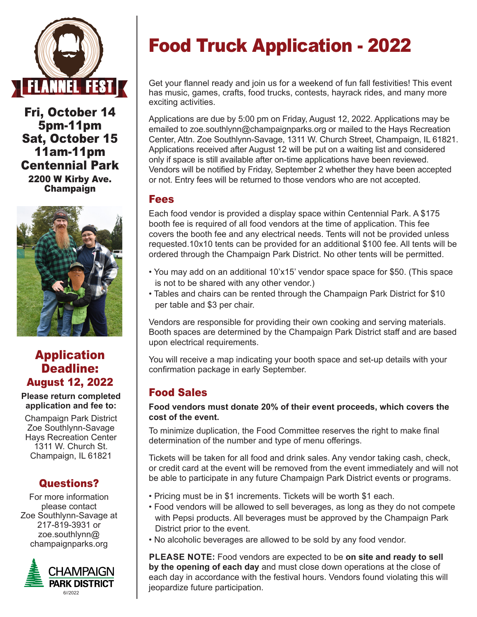

Fri, October 14 5pm-11pm Sat, October 15 11am-11pm Centennial Park 2200 W Kirby Ave. Champaign



# Application Deadline: August 12, 2022

**Please return completed application and fee to:**

Champaign Park District Zoe Southlynn-Savage Hays Recreation Center 1311 W. Church St. Champaign, IL 61821

## Questions?

For more information please contact Zoe Southlynn-Savage at 217-819-3931 or zoe.southlynn@ champaignparks.org



# Food Truck Application - 2022

Get your flannel ready and join us for a weekend of fun fall festivities! This event has music, games, crafts, food trucks, contests, hayrack rides, and many more exciting activities.

Applications are due by 5:00 pm on Friday, August 12, 2022. Applications may be emailed to zoe.southlynn@champaignparks.org or mailed to the Hays Recreation Center, Attn. Zoe Southlynn-Savage, 1311 W. Church Street, Champaign, IL 61821. Applications received after August 12 will be put on a waiting list and considered only if space is still available after on-time applications have been reviewed. Vendors will be notified by Friday, September 2 whether they have been accepted or not. Entry fees will be returned to those vendors who are not accepted.

### Fees

Each food vendor is provided a display space within Centennial Park. A \$175 booth fee is required of all food vendors at the time of application. This fee covers the booth fee and any electrical needs. Tents will not be provided unless requested.10x10 tents can be provided for an additional \$100 fee. All tents will be ordered through the Champaign Park District. No other tents will be permitted.

- You may add on an additional 10'x15' vendor space space for \$50. (This space is not to be shared with any other vendor.)
- Tables and chairs can be rented through the Champaign Park District for \$10 per table and \$3 per chair.

Vendors are responsible for providing their own cooking and serving materials. Booth spaces are determined by the Champaign Park District staff and are based upon electrical requirements.

You will receive a map indicating your booth space and set-up details with your confirmation package in early September.

# Food Sales

#### **Food vendors must donate 20% of their event proceeds, which covers the cost of the event.**

To minimize duplication, the Food Committee reserves the right to make final determination of the number and type of menu offerings.

Tickets will be taken for all food and drink sales. Any vendor taking cash, check, or credit card at the event will be removed from the event immediately and will not be able to participate in any future Champaign Park District events or programs.

- Pricing must be in \$1 increments. Tickets will be worth \$1 each.
- Food vendors will be allowed to sell beverages, as long as they do not compete
- with Pepsi products. All beverages must be approved by the Champaign Park District prior to the event.
- No alcoholic beverages are allowed to be sold by any food vendor.

**PLEASE NOTE:** Food vendors are expected to be **on site and ready to sell by the opening of each day** and must close down operations at the close of each day in accordance with the festival hours. Vendors found violating this will jeopardize future participation.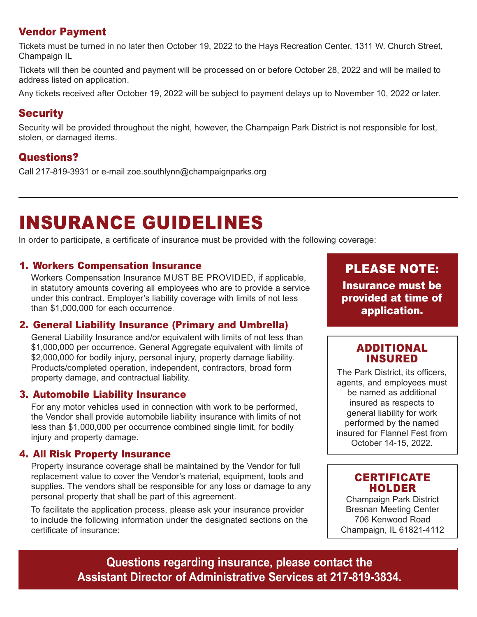## Vendor Payment

Tickets must be turned in no later then October 19, 2022 to the Hays Recreation Center, 1311 W. Church Street, Champaign IL

Tickets will then be counted and payment will be processed on or before October 28, 2022 and will be mailed to address listed on application.

Any tickets received after October 19, 2022 will be subject to payment delays up to November 10, 2022 or later.

# **Security**

Security will be provided throughout the night, however, the Champaign Park District is not responsible for lost, stolen, or damaged items.

# Questions?

Call 217-819-3931 or e-mail zoe.southlynn@champaignparks.org

# INSURANCE GUIDELINES

In order to participate, a certificate of insurance must be provided with the following coverage:

#### 1. Workers Compensation Insurance

Workers Compensation Insurance MUST BE PROVIDED, if applicable, in statutory amounts covering all employees who are to provide a service under this contract. Employer's liability coverage with limits of not less than \$1,000,000 for each occurrence.

#### 2. General Liability Insurance (Primary and Umbrella)

General Liability Insurance and/or equivalent with limits of not less than \$1,000,000 per occurrence. General Aggregate equivalent with limits of \$2,000,000 for bodily injury, personal injury, property damage liability. Products/completed operation, independent, contractors, broad form property damage, and contractual liability.

#### 3. Automobile Liability Insurance

For any motor vehicles used in connection with work to be performed, the Vendor shall provide automobile liability insurance with limits of not less than \$1,000,000 per occurrence combined single limit, for bodily injury and property damage.

#### 4. All Risk Property Insurance

Property insurance coverage shall be maintained by the Vendor for full replacement value to cover the Vendor's material, equipment, tools and supplies. The vendors shall be responsible for any loss or damage to any personal property that shall be part of this agreement.

To facilitate the application process, please ask your insurance provider to include the following information under the designated sections on the certificate of insurance:

PLEASE NOTE: Insurance must be provided at time of application.

### ADDITIONAL INSURED

The Park District, its officers, agents, and employees must be named as additional insured as respects to general liability for work performed by the named insured for Flannel Fest from October 14-15, 2022.

### **CERTIFICATE** HOLDER

Champaign Park District Bresnan Meeting Center 706 Kenwood Road Champaign, IL 61821-4112

**Questions regarding insurance, please contact the Assistant Director of Administrative Services at 217-819-3834.**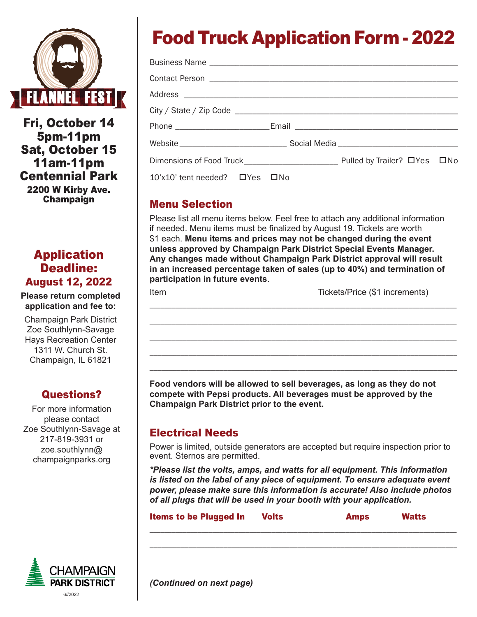

Fri, October 14 5pm-11pm Sat, October 15 11am-11pm Centennial Park

2200 W Kirby Ave. Champaign

# Application Deadline: August 12, 2022

**Please return completed application and fee to:**

Champaign Park District Zoe Southlynn-Savage Hays Recreation Center 1311 W. Church St. Champaign, IL 61821

# Questions?

For more information please contact Zoe Southlynn-Savage at 217-819-3931 or zoe.southlynn@ champaignparks.org



# Food Truck Application Form - 2022

| $10'$ x10' tent needed? $\Box$ Yes $\Box$ No |  |  |
|----------------------------------------------|--|--|

## Menu Selection

Please list all menu items below. Feel free to attach any additional information if needed. Menu items must be finalized by August 19. Tickets are worth \$1 each. **Menu items and prices may not be changed during the event unless approved by Champaign Park District Special Events Manager. Any changes made without Champaign Park District approval will result in an increased percentage taken of sales (up to 40%) and termination of participation in future events**.

\_\_\_\_\_\_\_\_\_\_\_\_\_\_\_\_\_\_\_\_\_\_\_\_\_\_\_\_\_\_\_\_\_\_\_\_\_\_\_\_\_\_\_\_\_\_\_\_\_\_\_\_\_\_\_\_\_\_\_\_\_\_\_\_\_\_\_\_\_\_\_\_\_\_\_\_\_\_\_\_\_\_\_

\_\_\_\_\_\_\_\_\_\_\_\_\_\_\_\_\_\_\_\_\_\_\_\_\_\_\_\_\_\_\_\_\_\_\_\_\_\_\_\_\_\_\_\_\_\_\_\_\_\_\_\_\_\_\_\_\_\_\_\_\_\_\_\_\_\_\_\_\_\_\_\_\_\_\_\_\_\_\_\_\_\_\_

\_\_\_\_\_\_\_\_\_\_\_\_\_\_\_\_\_\_\_\_\_\_\_\_\_\_\_\_\_\_\_\_\_\_\_\_\_\_\_\_\_\_\_\_\_\_\_\_\_\_\_\_\_\_\_\_\_\_\_\_\_\_\_\_\_\_\_\_\_\_\_\_\_\_\_\_\_\_\_\_\_\_\_ \_\_\_\_\_\_\_\_\_\_\_\_\_\_\_\_\_\_\_\_\_\_\_\_\_\_\_\_\_\_\_\_\_\_\_\_\_\_\_\_\_\_\_\_\_\_\_\_\_\_\_\_\_\_\_\_\_\_\_\_\_\_\_\_\_\_\_\_\_\_\_\_\_\_\_\_\_\_\_ \_\_\_\_\_\_\_\_\_\_\_\_\_\_\_\_\_\_\_\_\_\_\_\_\_\_\_\_\_\_\_\_\_\_\_\_\_\_\_\_\_\_\_\_\_\_\_\_\_\_\_\_\_\_\_\_\_\_\_\_\_\_\_\_\_\_\_\_\_\_\_\_\_\_\_\_\_\_\_

Item Tickets/Price (\$1 increments)

**Food vendors will be allowed to sell beverages, as long as they do not compete with Pepsi products. All beverages must be approved by the Champaign Park District prior to the event.**

## Electrical Needs

Power is limited, outside generators are accepted but require inspection prior to event. Sternos are permitted.

*\*Please list the volts, amps, and watts for all equipment. This information is listed on the label of any piece of equipment. To ensure adequate event power, please make sure this information is accurate! Also include photos of all plugs that will be used in your booth with your application.*

| <b>Items to be Plugged In</b> | <b>Amps</b> |  |
|-------------------------------|-------------|--|
|                               |             |  |

\_\_\_\_\_\_\_\_\_\_\_\_\_\_\_\_\_\_\_\_\_\_\_\_\_\_\_\_\_\_\_\_\_\_\_\_\_\_\_\_\_\_\_\_\_\_\_\_\_\_\_\_\_\_\_\_\_\_\_\_\_\_\_\_\_\_\_\_\_\_\_\_\_\_\_\_\_\_\_

*(Continued on next page)*